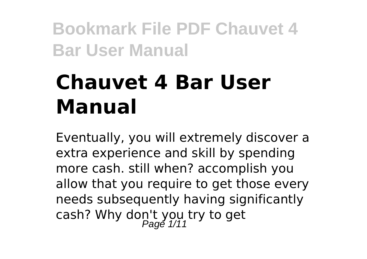# **Chauvet 4 Bar User Manual**

Eventually, you will extremely discover a extra experience and skill by spending more cash. still when? accomplish you allow that you require to get those every needs subsequently having significantly cash? Why don't you try to get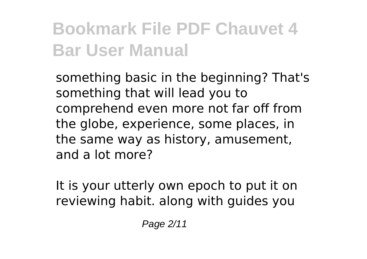something basic in the beginning? That's something that will lead you to comprehend even more not far off from the globe, experience, some places, in the same way as history, amusement, and a lot more?

It is your utterly own epoch to put it on reviewing habit. along with guides you

Page 2/11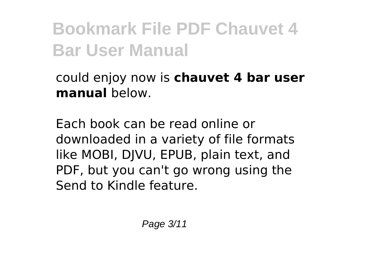could enjoy now is **chauvet 4 bar user manual** below.

Each book can be read online or downloaded in a variety of file formats like MOBI, DJVU, EPUB, plain text, and PDF, but you can't go wrong using the Send to Kindle feature.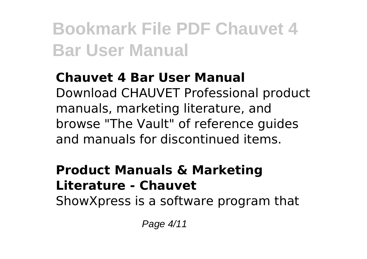#### **Chauvet 4 Bar User Manual** Download CHAUVET Professional product manuals, marketing literature, and

browse "The Vault" of reference guides and manuals for discontinued items.

#### **Product Manuals & Marketing Literature - Chauvet**

ShowXpress is a software program that

Page 4/11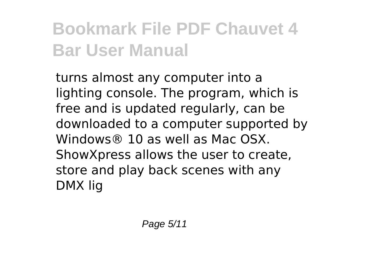turns almost any computer into a lighting console. The program, which is free and is updated regularly, can be downloaded to a computer supported by Windows® 10 as well as Mac OSX. ShowXpress allows the user to create, store and play back scenes with any DMX lig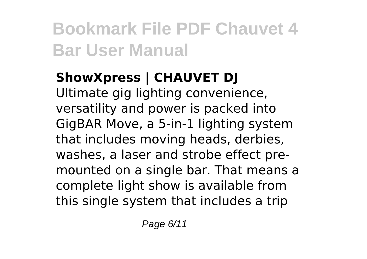#### **ShowXpress | CHAUVET DJ**

Ultimate gig lighting convenience, versatility and power is packed into GigBAR Move, a 5-in-1 lighting system that includes moving heads, derbies, washes, a laser and strobe effect premounted on a single bar. That means a complete light show is available from this single system that includes a trip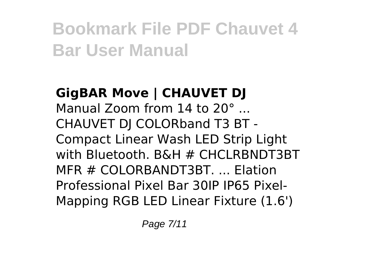#### **GigBAR Move | CHAUVET DJ** Manual Zoom from 14 to 20° ... CHAUVET DJ COLORband T3 BT - Compact Linear Wash LED Strip Light with Bluetooth. B&H # CHCLRBNDT3BT MFR # COLORBANDT3BT. ... Elation Professional Pixel Bar 30IP IP65 Pixel-Mapping RGB LED Linear Fixture (1.6')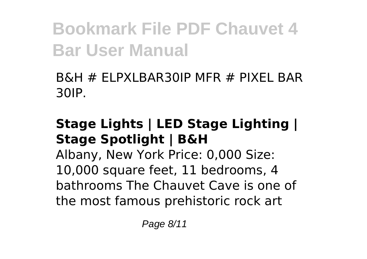B&H # ELPXLBAR30IP MFR # PIXEL BAR 30IP.

#### **Stage Lights | LED Stage Lighting | Stage Spotlight | B&H**

Albany, New York Price: 0,000 Size: 10,000 square feet, 11 bedrooms, 4 bathrooms The Chauvet Cave is one of the most famous prehistoric rock art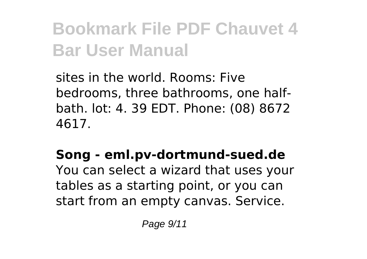sites in the world. Rooms: Five bedrooms, three bathrooms, one halfbath. lot: 4. 39 EDT. Phone: (08) 8672 4617.

#### **Song - eml.pv-dortmund-sued.de**

You can select a wizard that uses your tables as a starting point, or you can start from an empty canvas. Service.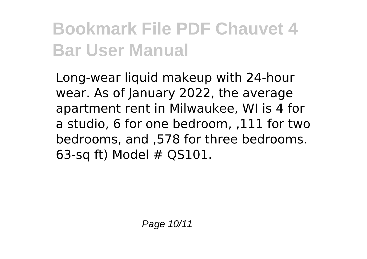Long-wear liquid makeup with 24-hour wear. As of January 2022, the average apartment rent in Milwaukee, WI is 4 for a studio, 6 for one bedroom, ,111 for two bedrooms, and ,578 for three bedrooms. 63-sq ft) Model # QS101.